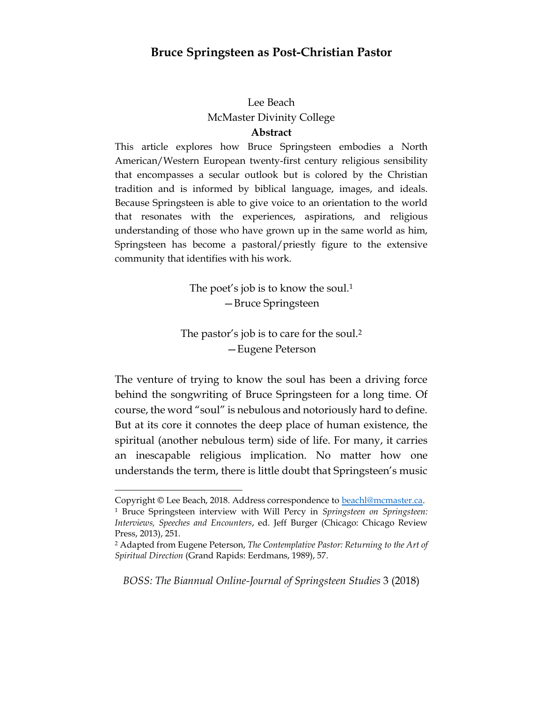## **Bruce Springsteen as Post-Christian Pastor**

# Lee Beach McMaster Divinity College

### **Abstract**

This article explores how Bruce Springsteen embodies a North American/Western European twenty-first century religious sensibility that encompasses a secular outlook but is colored by the Christian tradition and is informed by biblical language, images, and ideals. Because Springsteen is able to give voice to an orientation to the world that resonates with the experiences, aspirations, and religious understanding of those who have grown up in the same world as him, Springsteen has become a pastoral/priestly figure to the extensive community that identifies with his work.

> The poet's job is to know the soul.<sup>1</sup> —Bruce Springsteen

The pastor's job is to care for the soul.<sup>2</sup> —Eugene Peterson

The venture of trying to know the soul has been a driving force behind the songwriting of Bruce Springsteen for a long time. Of course, the word "soul" is nebulous and notoriously hard to define. But at its core it connotes the deep place of human existence, the spiritual (another nebulous term) side of life. For many, it carries an inescapable religious implication. No matter how one understands the term, there is little doubt that Springsteen's music

 $\overline{a}$ 

Copyright © Lee Beach, 2018. Address correspondence to [beachl@mcmaster.ca.](mailto:beachl@mcmaster.ca) <sup>1</sup> Bruce Springsteen interview with Will Percy in *Springsteen on Springsteen: Interviews, Speeches and Encounters*, ed. Jeff Burger (Chicago: Chicago Review Press, 2013), 251.

<sup>2</sup> Adapted from Eugene Peterson, *The Contemplative Pastor: Returning to the Art of Spiritual Direction* (Grand Rapids: Eerdmans, 1989), 57.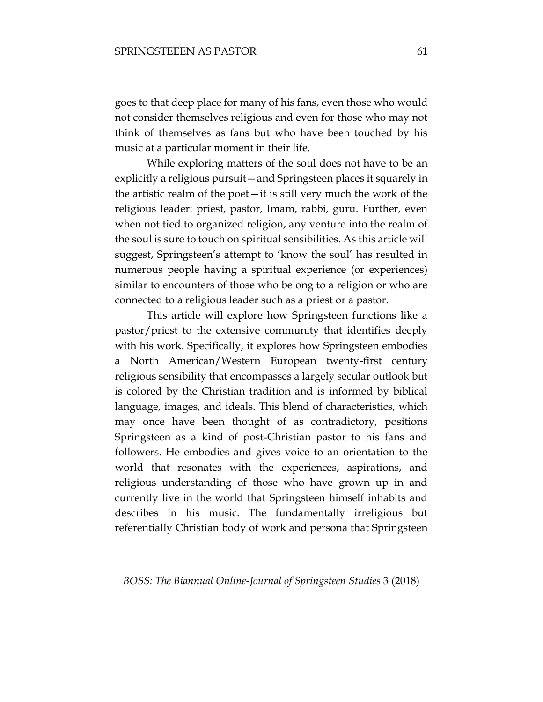goes to that deep place for many of his fans, even those who would not consider themselves religious and even for those who may not think of themselves as fans but who have been touched by his music at a particular moment in their life.

While exploring matters of the soul does not have to be an explicitly a religious pursuit—and Springsteen places it squarely in the artistic realm of the poet—it is still very much the work of the religious leader: priest, pastor, Imam, rabbi, guru. Further, even when not tied to organized religion, any venture into the realm of the soul is sure to touch on spiritual sensibilities. As this article will suggest, Springsteen's attempt to 'know the soul' has resulted in numerous people having a spiritual experience (or experiences) similar to encounters of those who belong to a religion or who are connected to a religious leader such as a priest or a pastor.

This article will explore how Springsteen functions like a pastor/priest to the extensive community that identifies deeply with his work. Specifically, it explores how Springsteen embodies a North American/Western European twenty-first century religious sensibility that encompasses a largely secular outlook but is colored by the Christian tradition and is informed by biblical language, images, and ideals. This blend of characteristics, which may once have been thought of as contradictory, positions Springsteen as a kind of post-Christian pastor to his fans and followers. He embodies and gives voice to an orientation to the world that resonates with the experiences, aspirations, and religious understanding of those who have grown up in and currently live in the world that Springsteen himself inhabits and describes in his music. The fundamentally irreligious but referentially Christian body of work and persona that Springsteen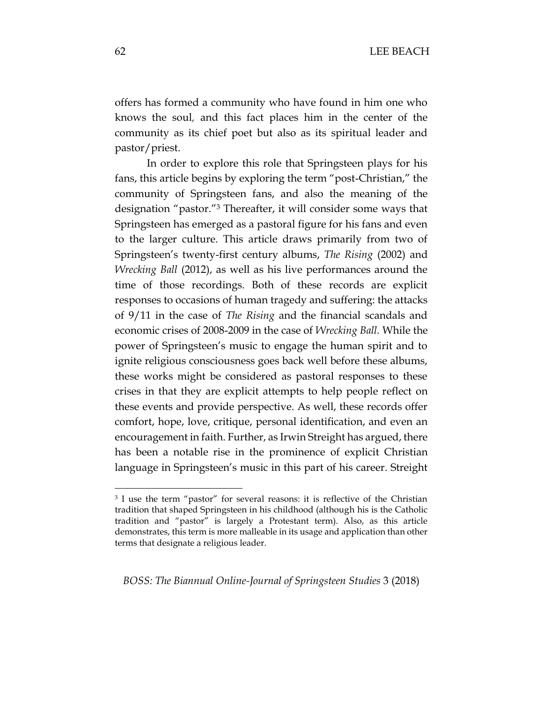offers has formed a community who have found in him one who knows the soul*,* and this fact places him in the center of the community as its chief poet but also as its spiritual leader and pastor/priest.

In order to explore this role that Springsteen plays for his fans, this article begins by exploring the term "post-Christian," the community of Springsteen fans, and also the meaning of the designation "pastor."<sup>3</sup> Thereafter, it will consider some ways that Springsteen has emerged as a pastoral figure for his fans and even to the larger culture. This article draws primarily from two of Springsteen's twenty-first century albums, *The Rising* (2002) and *Wrecking Ball* (2012), as well as his live performances around the time of those recordings. Both of these records are explicit responses to occasions of human tragedy and suffering: the attacks of 9/11 in the case of *The Rising* and the financial scandals and economic crises of 2008-2009 in the case of *Wrecking Ball.* While the power of Springsteen's music to engage the human spirit and to ignite religious consciousness goes back well before these albums, these works might be considered as pastoral responses to these crises in that they are explicit attempts to help people reflect on these events and provide perspective. As well, these records offer comfort, hope, love, critique, personal identification, and even an encouragement in faith. Further, as Irwin Streight has argued, there has been a notable rise in the prominence of explicit Christian language in Springsteen's music in this part of his career. Streight

*BOSS: The Biannual Online-Journal of Springsteen Studies* 3 (2018)

<sup>3</sup> I use the term "pastor" for several reasons: it is reflective of the Christian tradition that shaped Springsteen in his childhood (although his is the Catholic tradition and "pastor" is largely a Protestant term). Also, as this article demonstrates, this term is more malleable in its usage and application than other terms that designate a religious leader.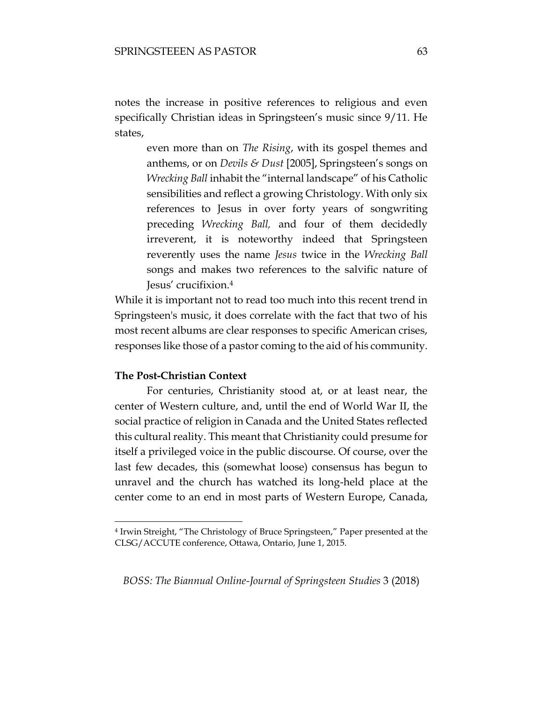notes the increase in positive references to religious and even specifically Christian ideas in Springsteen's music since 9/11. He states,

even more than on *The Rising*, with its gospel themes and anthems, or on *Devils & Dust* [2005], Springsteen's songs on *Wrecking Ball* inhabit the "internal landscape" of his Catholic sensibilities and reflect a growing Christology. With only six references to Jesus in over forty years of songwriting preceding *Wrecking Ball,* and four of them decidedly irreverent, it is noteworthy indeed that Springsteen reverently uses the name *Jesus* twice in the *Wrecking Ball* songs and makes two references to the salvific nature of Jesus' crucifixion.<sup>4</sup>

While it is important not to read too much into this recent trend in Springsteen's music, it does correlate with the fact that two of his most recent albums are clear responses to specific American crises, responses like those of a pastor coming to the aid of his community.

#### **The Post-Christian Context**

 $\overline{a}$ 

For centuries, Christianity stood at, or at least near, the center of Western culture, and, until the end of World War II, the social practice of religion in Canada and the United States reflected this cultural reality. This meant that Christianity could presume for itself a privileged voice in the public discourse. Of course, over the last few decades, this (somewhat loose) consensus has begun to unravel and the church has watched its long-held place at the center come to an end in most parts of Western Europe, Canada,

<sup>4</sup> Irwin Streight, "The Christology of Bruce Springsteen," Paper presented at the CLSG/ACCUTE conference, Ottawa, Ontario, June 1, 2015.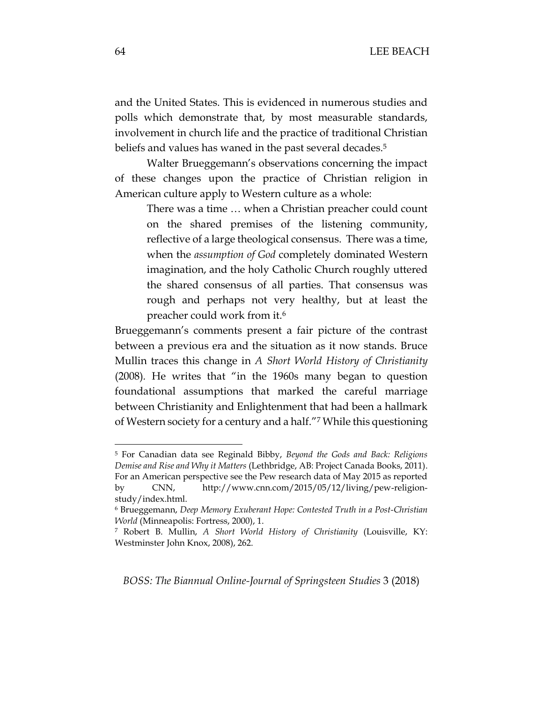and the United States. This is evidenced in numerous studies and polls which demonstrate that, by most measurable standards, involvement in church life and the practice of traditional Christian beliefs and values has waned in the past several decades.<sup>5</sup>

Walter Brueggemann's observations concerning the impact of these changes upon the practice of Christian religion in American culture apply to Western culture as a whole:

There was a time … when a Christian preacher could count on the shared premises of the listening community, reflective of a large theological consensus. There was a time, when the *assumption of God* completely dominated Western imagination, and the holy Catholic Church roughly uttered the shared consensus of all parties. That consensus was rough and perhaps not very healthy, but at least the preacher could work from it.<sup>6</sup>

Brueggemann's comments present a fair picture of the contrast between a previous era and the situation as it now stands. Bruce Mullin traces this change in *A Short World History of Christianity*  (2008)*.* He writes that "in the 1960s many began to question foundational assumptions that marked the careful marriage between Christianity and Enlightenment that had been a hallmark of Western society for a century and a half."<sup>7</sup> While this questioning

*BOSS: The Biannual Online-Journal of Springsteen Studies* 3 (2018)

<sup>5</sup> For Canadian data see Reginald Bibby, *Beyond the Gods and Back: Religions Demise and Rise and Why it Matters* (Lethbridge, AB: Project Canada Books, 2011). For an American perspective see the Pew research data of May 2015 as reported by CNN, http://www.cnn.com/2015/05/12/living/pew-religionstudy/index.html.

<sup>6</sup> Brueggemann, *Deep Memory Exuberant Hope: Contested Truth in a Post-Christian World* (Minneapolis: Fortress, 2000), 1.

<sup>7</sup> Robert B. Mullin, *A Short World History of Christianity* (Louisville, KY: Westminster John Knox, 2008), 262.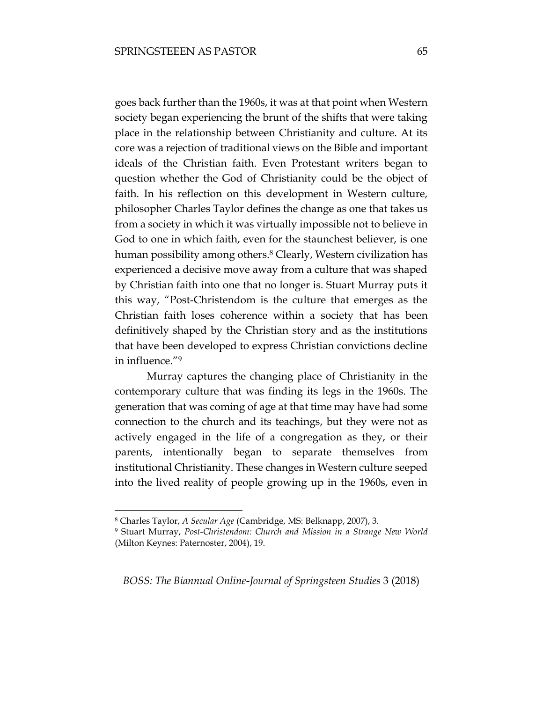goes back further than the 1960s, it was at that point when Western society began experiencing the brunt of the shifts that were taking place in the relationship between Christianity and culture. At its core was a rejection of traditional views on the Bible and important ideals of the Christian faith. Even Protestant writers began to question whether the God of Christianity could be the object of faith. In his reflection on this development in Western culture, philosopher Charles Taylor defines the change as one that takes us from a society in which it was virtually impossible not to believe in God to one in which faith, even for the staunchest believer, is one human possibility among others.<sup>8</sup> Clearly, Western civilization has experienced a decisive move away from a culture that was shaped by Christian faith into one that no longer is. Stuart Murray puts it this way, "Post-Christendom is the culture that emerges as the Christian faith loses coherence within a society that has been definitively shaped by the Christian story and as the institutions that have been developed to express Christian convictions decline in influence."<sup>9</sup>

Murray captures the changing place of Christianity in the contemporary culture that was finding its legs in the 1960s. The generation that was coming of age at that time may have had some connection to the church and its teachings, but they were not as actively engaged in the life of a congregation as they, or their parents, intentionally began to separate themselves from institutional Christianity. These changes in Western culture seeped into the lived reality of people growing up in the 1960s, even in

 $\overline{a}$ 

<sup>8</sup> Charles Taylor, *A Secular Age* (Cambridge, MS: Belknapp, 2007), 3.

<sup>9</sup> Stuart Murray, *Post-Christendom: Church and Mission in a Strange New World*  (Milton Keynes: Paternoster, 2004), 19.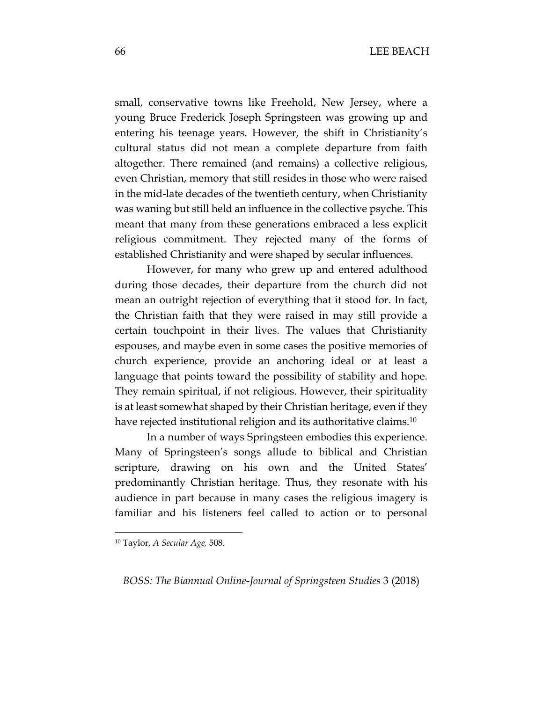small, conservative towns like Freehold, New Jersey, where a young Bruce Frederick Joseph Springsteen was growing up and entering his teenage years. However, the shift in Christianity's cultural status did not mean a complete departure from faith altogether. There remained (and remains) a collective religious, even Christian, memory that still resides in those who were raised in the mid-late decades of the twentieth century, when Christianity was waning but still held an influence in the collective psyche. This meant that many from these generations embraced a less explicit religious commitment. They rejected many of the forms of established Christianity and were shaped by secular influences.

However, for many who grew up and entered adulthood during those decades, their departure from the church did not mean an outright rejection of everything that it stood for. In fact, the Christian faith that they were raised in may still provide a certain touchpoint in their lives. The values that Christianity espouses, and maybe even in some cases the positive memories of church experience, provide an anchoring ideal or at least a language that points toward the possibility of stability and hope. They remain spiritual, if not religious. However, their spirituality is at least somewhat shaped by their Christian heritage, even if they have rejected institutional religion and its authoritative claims.<sup>10</sup>

In a number of ways Springsteen embodies this experience. Many of Springsteen's songs allude to biblical and Christian scripture, drawing on his own and the United States' predominantly Christian heritage. Thus, they resonate with his audience in part because in many cases the religious imagery is familiar and his listeners feel called to action or to personal

 $\overline{a}$ 

<sup>10</sup> Taylor, *A Secular Age,* 508.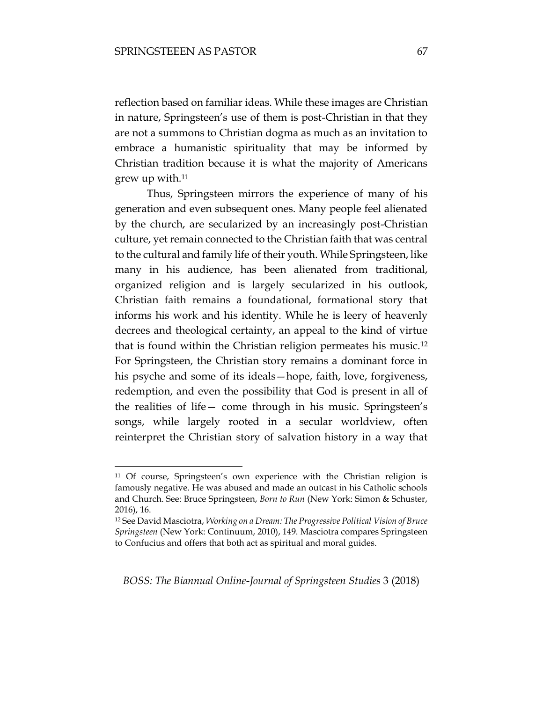$\overline{a}$ 

reflection based on familiar ideas. While these images are Christian in nature, Springsteen's use of them is post-Christian in that they are not a summons to Christian dogma as much as an invitation to embrace a humanistic spirituality that may be informed by Christian tradition because it is what the majority of Americans grew up with.<sup>11</sup>

Thus, Springsteen mirrors the experience of many of his generation and even subsequent ones. Many people feel alienated by the church, are secularized by an increasingly post-Christian culture, yet remain connected to the Christian faith that was central to the cultural and family life of their youth. While Springsteen, like many in his audience, has been alienated from traditional, organized religion and is largely secularized in his outlook, Christian faith remains a foundational, formational story that informs his work and his identity. While he is leery of heavenly decrees and theological certainty, an appeal to the kind of virtue that is found within the Christian religion permeates his music.<sup>12</sup> For Springsteen, the Christian story remains a dominant force in his psyche and some of its ideals—hope, faith, love, forgiveness, redemption, and even the possibility that God is present in all of the realities of life— come through in his music. Springsteen's songs, while largely rooted in a secular worldview, often reinterpret the Christian story of salvation history in a way that

<sup>&</sup>lt;sup>11</sup> Of course, Springsteen's own experience with the Christian religion is famously negative. He was abused and made an outcast in his Catholic schools and Church. See: Bruce Springsteen, *Born to Run* (New York: Simon & Schuster, 2016), 16.

<sup>12</sup> See David Masciotra, *Working on a Dream: The Progressive Political Vision of Bruce Springsteen* (New York: Continuum, 2010), 149. Masciotra compares Springsteen to Confucius and offers that both act as spiritual and moral guides.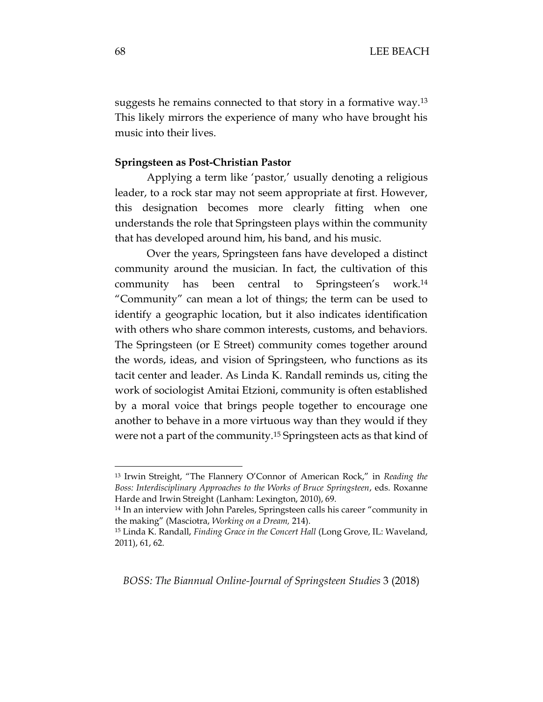suggests he remains connected to that story in a formative way.<sup>13</sup> This likely mirrors the experience of many who have brought his music into their lives.

#### **Springsteen as Post-Christian Pastor**

Applying a term like 'pastor*,*' usually denoting a religious leader, to a rock star may not seem appropriate at first. However, this designation becomes more clearly fitting when one understands the role that Springsteen plays within the community that has developed around him, his band, and his music.

Over the years, Springsteen fans have developed a distinct community around the musician. In fact, the cultivation of this community has been central to Springsteen's work.<sup>14</sup> "Community" can mean a lot of things; the term can be used to identify a geographic location, but it also indicates identification with others who share common interests, customs, and behaviors. The Springsteen (or E Street) community comes together around the words, ideas, and vision of Springsteen, who functions as its tacit center and leader. As Linda K. Randall reminds us, citing the work of sociologist Amitai Etzioni, community is often established by a moral voice that brings people together to encourage one another to behave in a more virtuous way than they would if they were not a part of the community.<sup>15</sup> Springsteen acts as that kind of

*BOSS: The Biannual Online-Journal of Springsteen Studies* 3 (2018)

<sup>13</sup> Irwin Streight, "The Flannery O'Connor of American Rock," in *Reading the Boss: Interdisciplinary Approaches to the Works of Bruce Springsteen*, eds. Roxanne Harde and Irwin Streight (Lanham: Lexington, 2010), 69.

<sup>14</sup> In an interview with John Pareles, Springsteen calls his career "community in the making" (Masciotra, *Working on a Dream,* 214).

<sup>15</sup> Linda K. Randall, *Finding Grace in the Concert Hall* (Long Grove, IL: Waveland, 2011), 61, 62.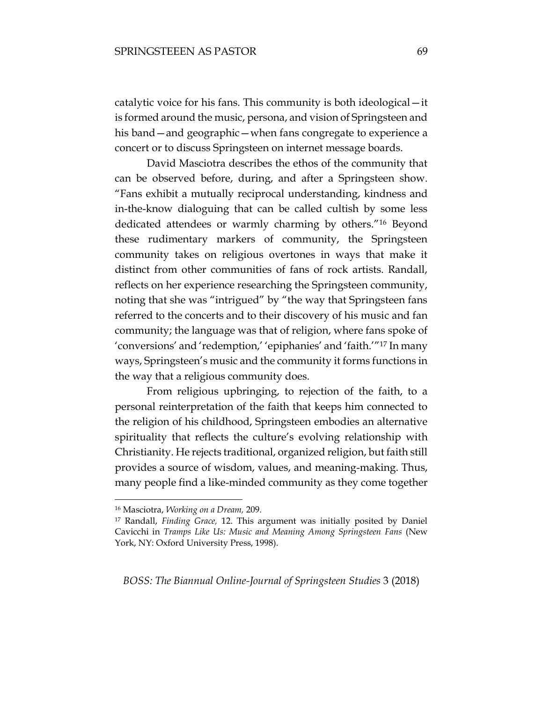catalytic voice for his fans. This community is both ideological—it is formed around the music, persona, and vision of Springsteen and his band—and geographic—when fans congregate to experience a concert or to discuss Springsteen on internet message boards.

David Masciotra describes the ethos of the community that can be observed before, during, and after a Springsteen show. "Fans exhibit a mutually reciprocal understanding, kindness and in-the-know dialoguing that can be called cultish by some less dedicated attendees or warmly charming by others."<sup>16</sup> Beyond these rudimentary markers of community, the Springsteen community takes on religious overtones in ways that make it distinct from other communities of fans of rock artists. Randall, reflects on her experience researching the Springsteen community, noting that she was "intrigued" by "the way that Springsteen fans referred to the concerts and to their discovery of his music and fan community; the language was that of religion, where fans spoke of 'conversions' and 'redemption,' 'epiphanies' and 'faith.'"<sup>17</sup> In many ways, Springsteen's music and the community it forms functions in the way that a religious community does.

From religious upbringing, to rejection of the faith, to a personal reinterpretation of the faith that keeps him connected to the religion of his childhood, Springsteen embodies an alternative spirituality that reflects the culture's evolving relationship with Christianity. He rejects traditional, organized religion, but faith still provides a source of wisdom, values, and meaning-making. Thus, many people find a like-minded community as they come together

 $\overline{a}$ 

<sup>16</sup> Masciotra, *Working on a Dream,* 209.

<sup>17</sup> Randall, *Finding Grace,* 12. This argument was initially posited by Daniel Cavicchi in *Tramps Like Us: Music and Meaning Among Springsteen Fans* (New York, NY: Oxford University Press, 1998).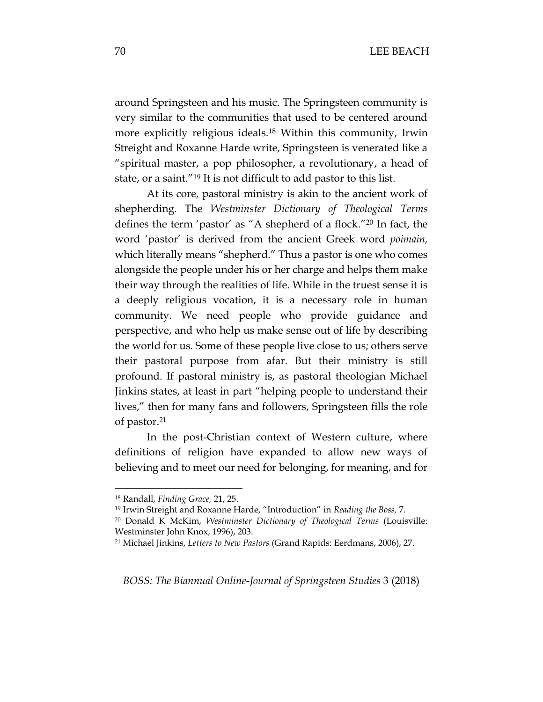around Springsteen and his music. The Springsteen community is very similar to the communities that used to be centered around more explicitly religious ideals.<sup>18</sup> Within this community, Irwin Streight and Roxanne Harde write, Springsteen is venerated like a "spiritual master, a pop philosopher, a revolutionary, a head of state, or a saint."<sup>19</sup> It is not difficult to add pastor to this list.

At its core, pastoral ministry is akin to the ancient work of shepherding. The *Westminster Dictionary of Theological Terms*  defines the term 'pastor' as "A shepherd of a flock."<sup>20</sup> In fact, the word 'pastor' is derived from the ancient Greek word *poimain,*  which literally means "shepherd." Thus a pastor is one who comes alongside the people under his or her charge and helps them make their way through the realities of life. While in the truest sense it is a deeply religious vocation, it is a necessary role in human community. We need people who provide guidance and perspective, and who help us make sense out of life by describing the world for us. Some of these people live close to us; others serve their pastoral purpose from afar. But their ministry is still profound. If pastoral ministry is, as pastoral theologian Michael Jinkins states, at least in part "helping people to understand their lives," then for many fans and followers, Springsteen fills the role of pastor.<sup>21</sup>

In the post-Christian context of Western culture, where definitions of religion have expanded to allow new ways of believing and to meet our need for belonging, for meaning, and for

<sup>18</sup> Randall, *Finding Grace,* 21, 25.

<sup>19</sup> Irwin Streight and Roxanne Harde, "Introduction" in *Reading the Boss,* 7.

<sup>20</sup> Donald K McKim, *Westminster Dictionary of Theological Terms* (Louisville: Westminster John Knox, 1996), 203.

<sup>21</sup> Michael Jinkins, *Letters to New Pastors* (Grand Rapids: Eerdmans, 2006), 27.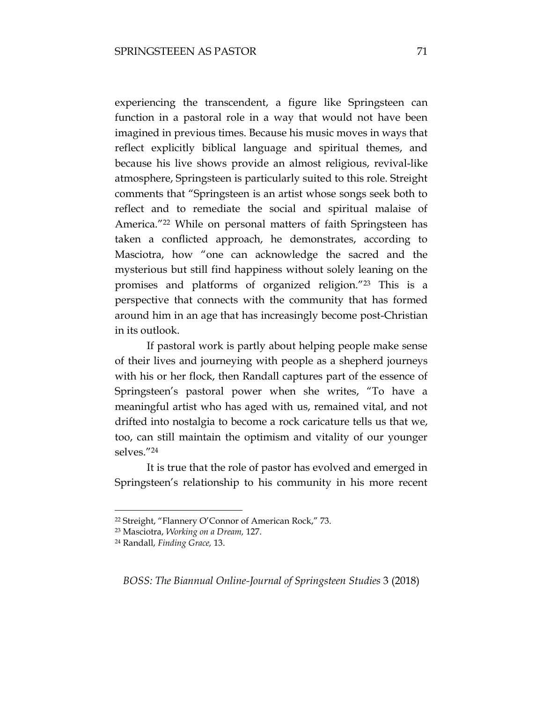experiencing the transcendent, a figure like Springsteen can function in a pastoral role in a way that would not have been imagined in previous times. Because his music moves in ways that reflect explicitly biblical language and spiritual themes, and because his live shows provide an almost religious, revival-like atmosphere, Springsteen is particularly suited to this role. Streight comments that "Springsteen is an artist whose songs seek both to reflect and to remediate the social and spiritual malaise of America."<sup>22</sup> While on personal matters of faith Springsteen has taken a conflicted approach, he demonstrates, according to Masciotra, how "one can acknowledge the sacred and the mysterious but still find happiness without solely leaning on the promises and platforms of organized religion."<sup>23</sup> This is a perspective that connects with the community that has formed around him in an age that has increasingly become post-Christian in its outlook.

If pastoral work is partly about helping people make sense of their lives and journeying with people as a shepherd journeys with his or her flock, then Randall captures part of the essence of Springsteen's pastoral power when she writes, "To have a meaningful artist who has aged with us, remained vital, and not drifted into nostalgia to become a rock caricature tells us that we, too, can still maintain the optimism and vitality of our younger selves."<sup>24</sup>

It is true that the role of pastor has evolved and emerged in Springsteen's relationship to his community in his more recent

 $\overline{a}$ 

<sup>22</sup> Streight, "Flannery O'Connor of American Rock," 73.

<sup>23</sup> Masciotra, *Working on a Dream,* 127.

<sup>24</sup> Randall, *Finding Grace,* 13.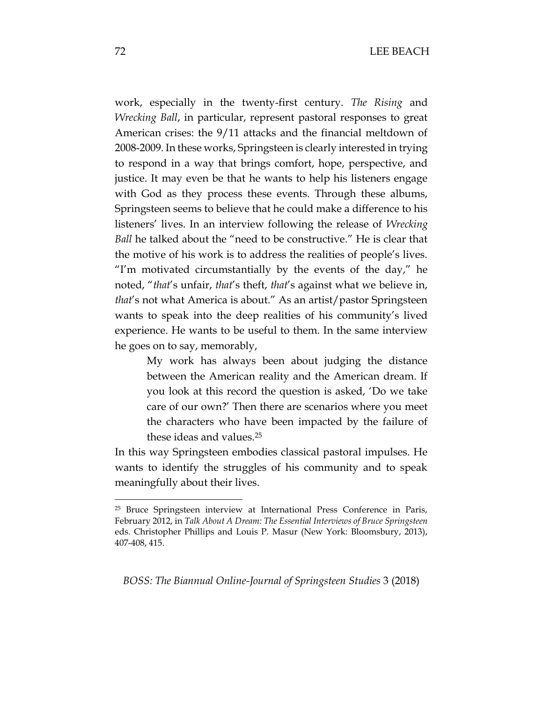work, especially in the twenty-first century. *The Rising* and *Wrecking Ball*, in particular, represent pastoral responses to great American crises: the 9/11 attacks and the financial meltdown of 2008-2009. In these works, Springsteen is clearly interested in trying to respond in a way that brings comfort, hope, perspective, and justice. It may even be that he wants to help his listeners engage with God as they process these events. Through these albums, Springsteen seems to believe that he could make a difference to his listeners' lives. In an interview following the release of *Wrecking Ball* he talked about the "need to be constructive." He is clear that the motive of his work is to address the realities of people's lives. "I'm motivated circumstantially by the events of the day," he noted, "*that*'s unfair, *that*'s theft, *that*'s against what we believe in, *that*'s not what America is about." As an artist/pastor Springsteen wants to speak into the deep realities of his community's lived experience. He wants to be useful to them. In the same interview he goes on to say, memorably,

My work has always been about judging the distance between the American reality and the American dream. If you look at this record the question is asked, 'Do we take care of our own?' Then there are scenarios where you meet the characters who have been impacted by the failure of these ideas and values.<sup>25</sup>

In this way Springsteen embodies classical pastoral impulses. He wants to identify the struggles of his community and to speak meaningfully about their lives.

*BOSS: The Biannual Online-Journal of Springsteen Studies* 3 (2018)

<sup>25</sup> Bruce Springsteen interview at International Press Conference in Paris, February 2012, in *Talk About A Dream: The Essential Interviews of Bruce Springsteen*  eds. Christopher Phillips and Louis P. Masur (New York: Bloomsbury, 2013), 407-408, 415.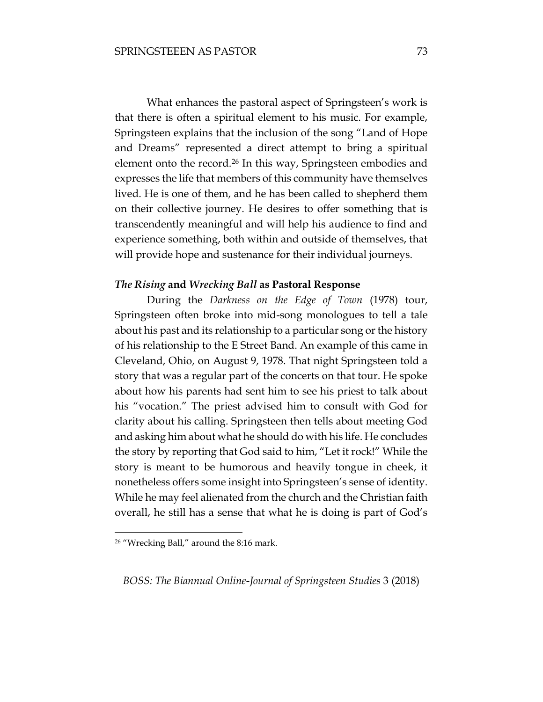What enhances the pastoral aspect of Springsteen's work is that there is often a spiritual element to his music. For example, Springsteen explains that the inclusion of the song "Land of Hope and Dreams" represented a direct attempt to bring a spiritual element onto the record.<sup>26</sup> In this way, Springsteen embodies and expresses the life that members of this community have themselves lived. He is one of them, and he has been called to shepherd them on their collective journey. He desires to offer something that is transcendently meaningful and will help his audience to find and experience something, both within and outside of themselves, that will provide hope and sustenance for their individual journeys.

#### *The Rising* **and** *Wrecking Ball* **as Pastoral Response**

During the *Darkness on the Edge of Town* (1978) tour, Springsteen often broke into mid-song monologues to tell a tale about his past and its relationship to a particular song or the history of his relationship to the E Street Band. An example of this came in Cleveland, Ohio, on August 9, 1978. That night Springsteen told a story that was a regular part of the concerts on that tour. He spoke about how his parents had sent him to see his priest to talk about his "vocation." The priest advised him to consult with God for clarity about his calling. Springsteen then tells about meeting God and asking him about what he should do with his life. He concludes the story by reporting that God said to him, "Let it rock!" While the story is meant to be humorous and heavily tongue in cheek, it nonetheless offers some insight into Springsteen's sense of identity. While he may feel alienated from the church and the Christian faith overall, he still has a sense that what he is doing is part of God's

 $\overline{a}$ 

<sup>26</sup> "Wrecking Ball," around the 8:16 mark.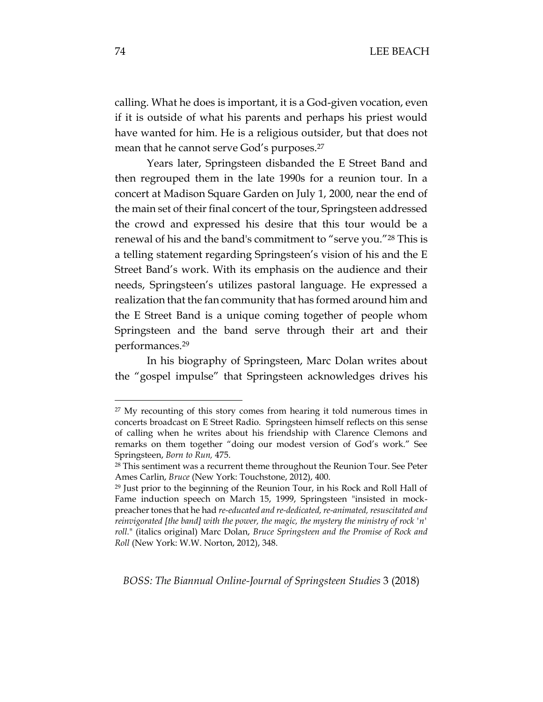calling. What he does is important, it is a God-given vocation, even if it is outside of what his parents and perhaps his priest would have wanted for him. He is a religious outsider, but that does not mean that he cannot serve God's purposes.<sup>27</sup>

Years later, Springsteen disbanded the E Street Band and then regrouped them in the late 1990s for a reunion tour. In a concert at Madison Square Garden on July 1, 2000, near the end of the main set of their final concert of the tour, Springsteen addressed the crowd and expressed his desire that this tour would be a renewal of his and the band's commitment to "serve you."<sup>28</sup> This is a telling statement regarding Springsteen's vision of his and the E Street Band's work. With its emphasis on the audience and their needs, Springsteen's utilizes pastoral language. He expressed a realization that the fan community that has formed around him and the E Street Band is a unique coming together of people whom Springsteen and the band serve through their art and their performances.<sup>29</sup>

In his biography of Springsteen, Marc Dolan writes about the "gospel impulse" that Springsteen acknowledges drives his

*BOSS: The Biannual Online-Journal of Springsteen Studies* 3 (2018)

<sup>&</sup>lt;sup>27</sup> My recounting of this story comes from hearing it told numerous times in concerts broadcast on E Street Radio. Springsteen himself reflects on this sense of calling when he writes about his friendship with Clarence Clemons and remarks on them together "doing our modest version of God's work." See Springsteen, *Born to Run,* 475.

<sup>&</sup>lt;sup>28</sup> This sentiment was a recurrent theme throughout the Reunion Tour. See Peter Ames Carlin, *Bruce* (New York: Touchstone, 2012), 400.

<sup>29</sup> Just prior to the beginning of the Reunion Tour, in his Rock and Roll Hall of Fame induction speech on March 15, 1999, Springsteen "insisted in mockpreacher tones that he had *re-educated and re-dedicated, re-animated, resuscitated and reinvigorated [the band] with the power, the magic, the mystery the ministry of rock 'n' roll.*" (italics original) Marc Dolan, *Bruce Springsteen and the Promise of Rock and Roll* (New York: W.W. Norton, 2012), 348.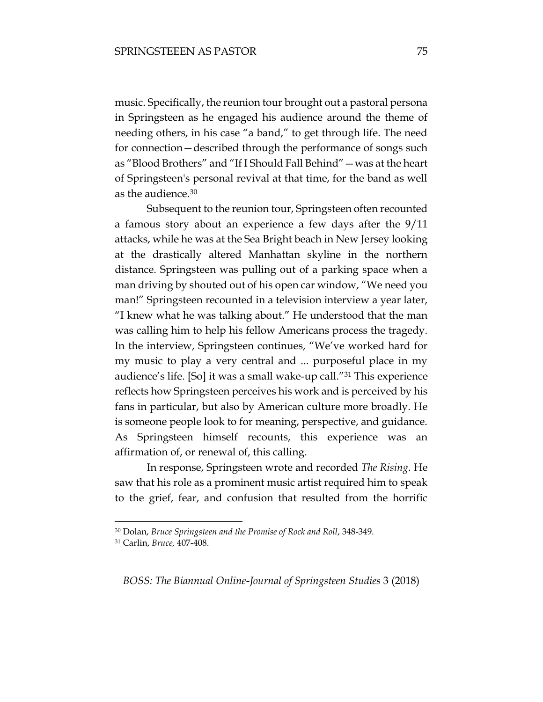music. Specifically, the reunion tour brought out a pastoral persona in Springsteen as he engaged his audience around the theme of needing others, in his case "a band," to get through life. The need for connection—described through the performance of songs such as "Blood Brothers" and "If I Should Fall Behind"—was at the heart of Springsteen's personal revival at that time, for the band as well as the audience.<sup>30</sup>

Subsequent to the reunion tour, Springsteen often recounted a famous story about an experience a few days after the 9/11 attacks, while he was at the Sea Bright beach in New Jersey looking at the drastically altered Manhattan skyline in the northern distance. Springsteen was pulling out of a parking space when a man driving by shouted out of his open car window, "We need you man!" Springsteen recounted in a television interview a year later, "I knew what he was talking about." He understood that the man was calling him to help his fellow Americans process the tragedy. In the interview, Springsteen continues, "We've worked hard for my music to play a very central and ... purposeful place in my audience's life. [So] it was a small wake-up call."<sup>31</sup> This experience reflects how Springsteen perceives his work and is perceived by his fans in particular, but also by American culture more broadly. He is someone people look to for meaning, perspective, and guidance. As Springsteen himself recounts, this experience was an affirmation of, or renewal of, this calling.

In response, Springsteen wrote and recorded *The Rising.* He saw that his role as a prominent music artist required him to speak to the grief, fear, and confusion that resulted from the horrific

 $\overline{a}$ 

<sup>30</sup> Dolan, *Bruce Springsteen and the Promise of Rock and Roll*, 348-349.

<sup>31</sup> Carlin, *Bruce,* 407-408.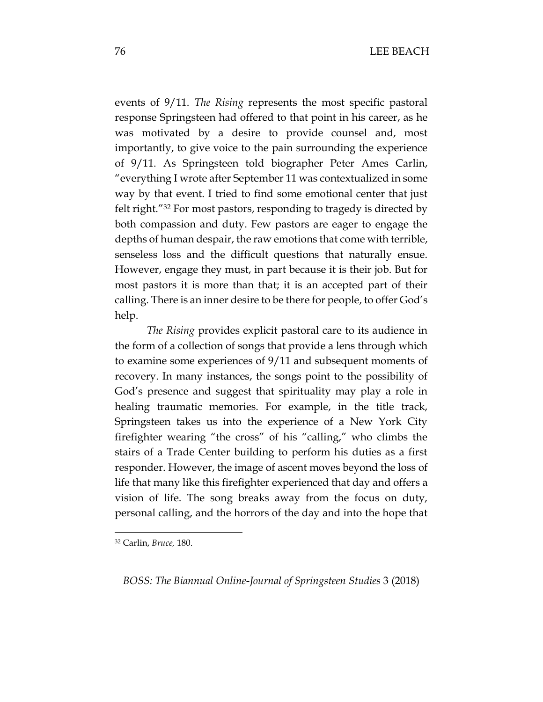events of 9/11. *The Rising* represents the most specific pastoral response Springsteen had offered to that point in his career, as he was motivated by a desire to provide counsel and, most importantly, to give voice to the pain surrounding the experience of 9/11. As Springsteen told biographer Peter Ames Carlin, "everything I wrote after September 11 was contextualized in some way by that event. I tried to find some emotional center that just felt right."<sup>32</sup> For most pastors, responding to tragedy is directed by both compassion and duty. Few pastors are eager to engage the depths of human despair, the raw emotions that come with terrible, senseless loss and the difficult questions that naturally ensue. However, engage they must, in part because it is their job. But for most pastors it is more than that; it is an accepted part of their calling. There is an inner desire to be there for people, to offer God's help.

*The Rising* provides explicit pastoral care to its audience in the form of a collection of songs that provide a lens through which to examine some experiences of 9/11 and subsequent moments of recovery. In many instances, the songs point to the possibility of God's presence and suggest that spirituality may play a role in healing traumatic memories. For example, in the title track, Springsteen takes us into the experience of a New York City firefighter wearing "the cross" of his "calling," who climbs the stairs of a Trade Center building to perform his duties as a first responder. However, the image of ascent moves beyond the loss of life that many like this firefighter experienced that day and offers a vision of life. The song breaks away from the focus on duty, personal calling, and the horrors of the day and into the hope that

 $\overline{a}$ 

<sup>32</sup> Carlin, *Bruce,* 180.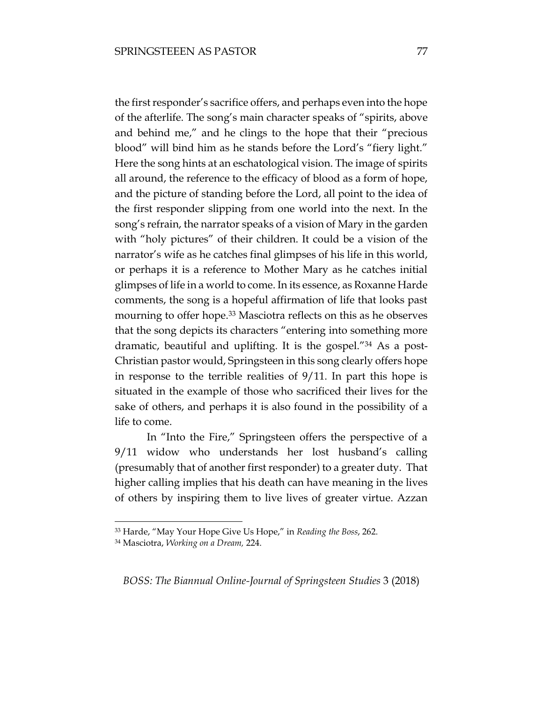the first responder's sacrifice offers, and perhaps even into the hope of the afterlife. The song's main character speaks of "spirits, above and behind me," and he clings to the hope that their "precious blood" will bind him as he stands before the Lord's "fiery light." Here the song hints at an eschatological vision. The image of spirits all around, the reference to the efficacy of blood as a form of hope, and the picture of standing before the Lord, all point to the idea of the first responder slipping from one world into the next. In the song's refrain, the narrator speaks of a vision of Mary in the garden with "holy pictures" of their children. It could be a vision of the narrator's wife as he catches final glimpses of his life in this world, or perhaps it is a reference to Mother Mary as he catches initial glimpses of life in a world to come. In its essence, as Roxanne Harde comments, the song is a hopeful affirmation of life that looks past mourning to offer hope.<sup>33</sup> Masciotra reflects on this as he observes that the song depicts its characters "entering into something more dramatic, beautiful and uplifting. It is the gospel."<sup>34</sup> As a post-Christian pastor would, Springsteen in this song clearly offers hope in response to the terrible realities of 9/11. In part this hope is situated in the example of those who sacrificed their lives for the sake of others, and perhaps it is also found in the possibility of a life to come.

In "Into the Fire," Springsteen offers the perspective of a 9/11 widow who understands her lost husband's calling (presumably that of another first responder) to a greater duty. That higher calling implies that his death can have meaning in the lives of others by inspiring them to live lives of greater virtue. Azzan

 $\overline{a}$ 

<sup>33</sup> Harde, "May Your Hope Give Us Hope," in *Reading the Boss*, 262.

<sup>34</sup> Masciotra, *Working on a Dream,* 224.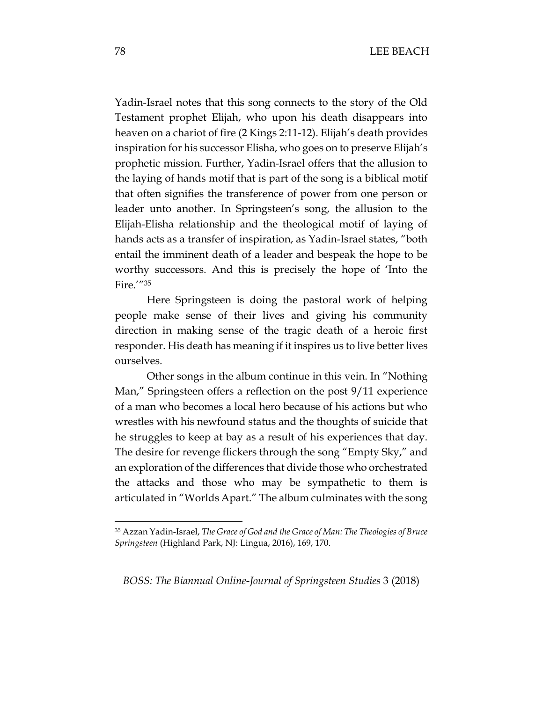Yadin-Israel notes that this song connects to the story of the Old Testament prophet Elijah, who upon his death disappears into heaven on a chariot of fire (2 Kings 2:11-12). Elijah's death provides inspiration for his successor Elisha, who goes on to preserve Elijah's prophetic mission. Further, Yadin-Israel offers that the allusion to the laying of hands motif that is part of the song is a biblical motif that often signifies the transference of power from one person or leader unto another. In Springsteen's song, the allusion to the Elijah-Elisha relationship and the theological motif of laying of hands acts as a transfer of inspiration, as Yadin-Israel states, "both entail the imminent death of a leader and bespeak the hope to be worthy successors. And this is precisely the hope of 'Into the Fire.'"<sup>35</sup>

Here Springsteen is doing the pastoral work of helping people make sense of their lives and giving his community direction in making sense of the tragic death of a heroic first responder. His death has meaning if it inspires us to live better lives ourselves.

Other songs in the album continue in this vein. In "Nothing Man," Springsteen offers a reflection on the post 9/11 experience of a man who becomes a local hero because of his actions but who wrestles with his newfound status and the thoughts of suicide that he struggles to keep at bay as a result of his experiences that day. The desire for revenge flickers through the song "Empty Sky," and an exploration of the differences that divide those who orchestrated the attacks and those who may be sympathetic to them is articulated in "Worlds Apart." The album culminates with the song

*BOSS: The Biannual Online-Journal of Springsteen Studies* 3 (2018)

<sup>35</sup> Azzan Yadin-Israel, *The Grace of God and the Grace of Man: The Theologies of Bruce Springsteen* (Highland Park, NJ: Lingua, 2016), 169, 170.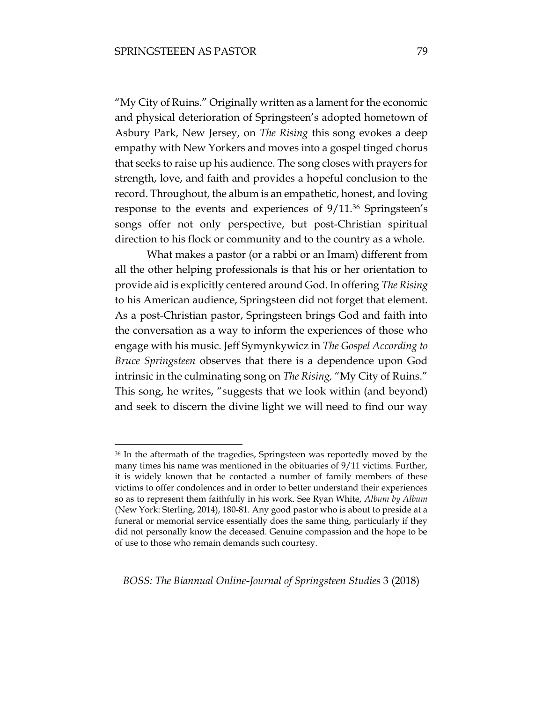$\overline{a}$ 

"My City of Ruins." Originally written as a lament for the economic and physical deterioration of Springsteen's adopted hometown of Asbury Park, New Jersey, on *The Rising* this song evokes a deep empathy with New Yorkers and moves into a gospel tinged chorus that seeks to raise up his audience. The song closes with prayers for strength, love, and faith and provides a hopeful conclusion to the record. Throughout, the album is an empathetic, honest, and loving response to the events and experiences of 9/11.<sup>36</sup> Springsteen's songs offer not only perspective, but post-Christian spiritual direction to his flock or community and to the country as a whole.

What makes a pastor (or a rabbi or an Imam) different from all the other helping professionals is that his or her orientation to provide aid is explicitly centered around God. In offering *The Rising*  to his American audience, Springsteen did not forget that element. As a post-Christian pastor, Springsteen brings God and faith into the conversation as a way to inform the experiences of those who engage with his music. Jeff Symynkywicz in *The Gospel According to Bruce Springsteen* observes that there is a dependence upon God intrinsic in the culminating song on *The Rising,* "My City of Ruins." This song, he writes, "suggests that we look within (and beyond) and seek to discern the divine light we will need to find our way

<sup>36</sup> In the aftermath of the tragedies, Springsteen was reportedly moved by the many times his name was mentioned in the obituaries of 9/11 victims. Further, it is widely known that he contacted a number of family members of these victims to offer condolences and in order to better understand their experiences so as to represent them faithfully in his work. See Ryan White, *Album by Album*  (New York: Sterling, 2014), 180-81. Any good pastor who is about to preside at a funeral or memorial service essentially does the same thing, particularly if they did not personally know the deceased. Genuine compassion and the hope to be of use to those who remain demands such courtesy.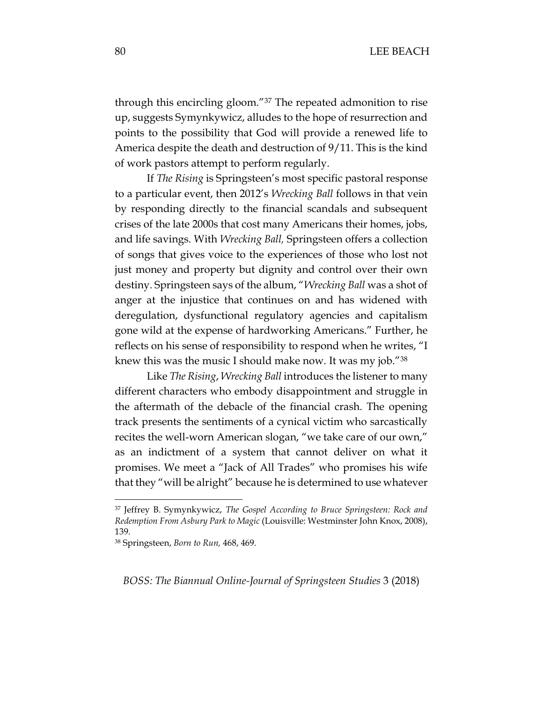through this encircling gloom."<sup>37</sup> The repeated admonition to rise up, suggests Symynkywicz, alludes to the hope of resurrection and points to the possibility that God will provide a renewed life to America despite the death and destruction of 9/11. This is the kind of work pastors attempt to perform regularly.

If *The Rising* is Springsteen's most specific pastoral response to a particular event, then 2012's *Wrecking Ball* follows in that vein by responding directly to the financial scandals and subsequent crises of the late 2000s that cost many Americans their homes, jobs, and life savings. With *Wrecking Ball,* Springsteen offers a collection of songs that gives voice to the experiences of those who lost not just money and property but dignity and control over their own destiny. Springsteen says of the album, "*Wrecking Ball* was a shot of anger at the injustice that continues on and has widened with deregulation, dysfunctional regulatory agencies and capitalism gone wild at the expense of hardworking Americans." Further, he reflects on his sense of responsibility to respond when he writes, "I knew this was the music I should make now. It was my job."<sup>38</sup>

Like *The Rising*, *Wrecking Ball* introduces the listener to many different characters who embody disappointment and struggle in the aftermath of the debacle of the financial crash. The opening track presents the sentiments of a cynical victim who sarcastically recites the well-worn American slogan, "we take care of our own," as an indictment of a system that cannot deliver on what it promises. We meet a "Jack of All Trades" who promises his wife that they "will be alright" because he is determined to use whatever

 $\overline{a}$ 

<sup>37</sup> Jeffrey B. Symynkywicz, *The Gospel According to Bruce Springsteen: Rock and Redemption From Asbury Park to Magic* (Louisville: Westminster John Knox, 2008), 139.

<sup>38</sup> Springsteen, *Born to Run,* 468, 469.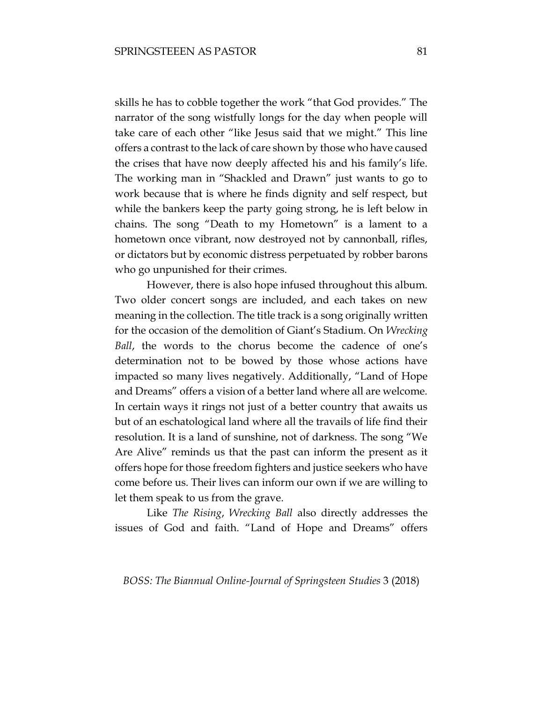skills he has to cobble together the work "that God provides." The narrator of the song wistfully longs for the day when people will take care of each other "like Jesus said that we might." This line offers a contrast to the lack of care shown by those who have caused the crises that have now deeply affected his and his family's life. The working man in "Shackled and Drawn" just wants to go to work because that is where he finds dignity and self respect, but while the bankers keep the party going strong, he is left below in chains. The song "Death to my Hometown" is a lament to a hometown once vibrant, now destroyed not by cannonball, rifles, or dictators but by economic distress perpetuated by robber barons who go unpunished for their crimes.

However, there is also hope infused throughout this album. Two older concert songs are included, and each takes on new meaning in the collection. The title track is a song originally written for the occasion of the demolition of Giant's Stadium. On *Wrecking Ball*, the words to the chorus become the cadence of one's determination not to be bowed by those whose actions have impacted so many lives negatively. Additionally, "Land of Hope and Dreams" offers a vision of a better land where all are welcome. In certain ways it rings not just of a better country that awaits us but of an eschatological land where all the travails of life find their resolution. It is a land of sunshine, not of darkness. The song "We Are Alive" reminds us that the past can inform the present as it offers hope for those freedom fighters and justice seekers who have come before us. Their lives can inform our own if we are willing to let them speak to us from the grave.

 Like *The Rising*, *Wrecking Ball* also directly addresses the issues of God and faith. "Land of Hope and Dreams" offers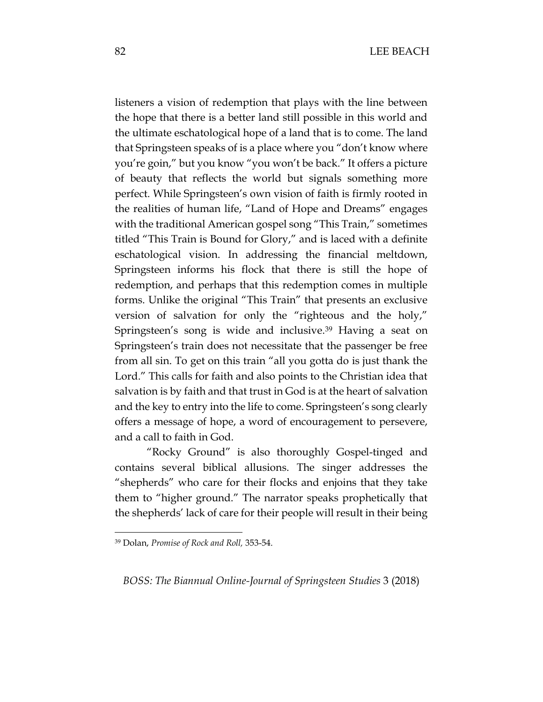listeners a vision of redemption that plays with the line between the hope that there is a better land still possible in this world and the ultimate eschatological hope of a land that is to come. The land that Springsteen speaks of is a place where you "don't know where you're goin," but you know "you won't be back." It offers a picture of beauty that reflects the world but signals something more perfect. While Springsteen's own vision of faith is firmly rooted in the realities of human life, "Land of Hope and Dreams" engages with the traditional American gospel song "This Train," sometimes titled "This Train is Bound for Glory," and is laced with a definite eschatological vision. In addressing the financial meltdown, Springsteen informs his flock that there is still the hope of redemption, and perhaps that this redemption comes in multiple forms. Unlike the original "This Train" that presents an exclusive version of salvation for only the "righteous and the holy," Springsteen's song is wide and inclusive.<sup>39</sup> Having a seat on Springsteen's train does not necessitate that the passenger be free from all sin. To get on this train "all you gotta do is just thank the Lord." This calls for faith and also points to the Christian idea that salvation is by faith and that trust in God is at the heart of salvation and the key to entry into the life to come. Springsteen's song clearly offers a message of hope, a word of encouragement to persevere, and a call to faith in God.

"Rocky Ground" is also thoroughly Gospel-tinged and contains several biblical allusions. The singer addresses the "shepherds" who care for their flocks and enjoins that they take them to "higher ground." The narrator speaks prophetically that the shepherds' lack of care for their people will result in their being

 $\overline{a}$ 

<sup>39</sup> Dolan, *Promise of Rock and Roll,* 353-54.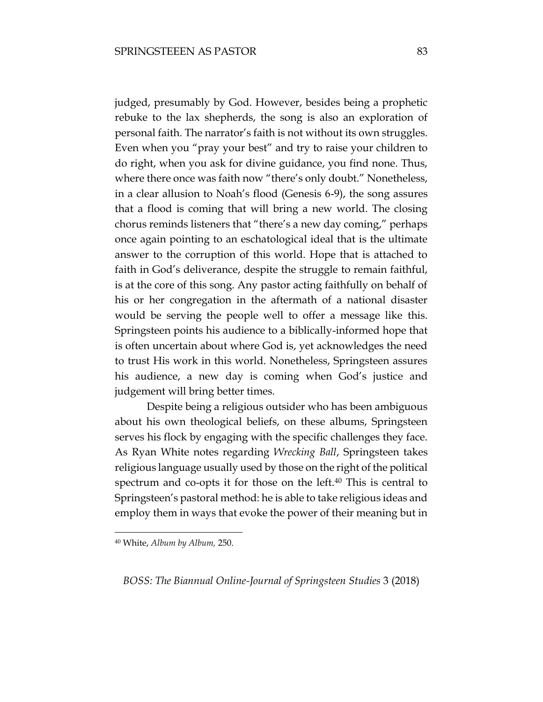judged, presumably by God. However, besides being a prophetic rebuke to the lax shepherds, the song is also an exploration of personal faith. The narrator's faith is not without its own struggles. Even when you "pray your best" and try to raise your children to do right, when you ask for divine guidance, you find none. Thus, where there once was faith now "there's only doubt." Nonetheless, in a clear allusion to Noah's flood (Genesis 6-9), the song assures that a flood is coming that will bring a new world. The closing chorus reminds listeners that "there's a new day coming," perhaps once again pointing to an eschatological ideal that is the ultimate answer to the corruption of this world. Hope that is attached to faith in God's deliverance, despite the struggle to remain faithful, is at the core of this song. Any pastor acting faithfully on behalf of his or her congregation in the aftermath of a national disaster would be serving the people well to offer a message like this. Springsteen points his audience to a biblically-informed hope that is often uncertain about where God is, yet acknowledges the need to trust His work in this world. Nonetheless, Springsteen assures his audience, a new day is coming when God's justice and judgement will bring better times.

Despite being a religious outsider who has been ambiguous about his own theological beliefs, on these albums, Springsteen serves his flock by engaging with the specific challenges they face. As Ryan White notes regarding *Wrecking Ball*, Springsteen takes religious language usually used by those on the right of the political spectrum and co-opts it for those on the left.<sup>40</sup> This is central to Springsteen's pastoral method: he is able to take religious ideas and employ them in ways that evoke the power of their meaning but in

 $\overline{a}$ 

<sup>40</sup> White, *Album by Album,* 250.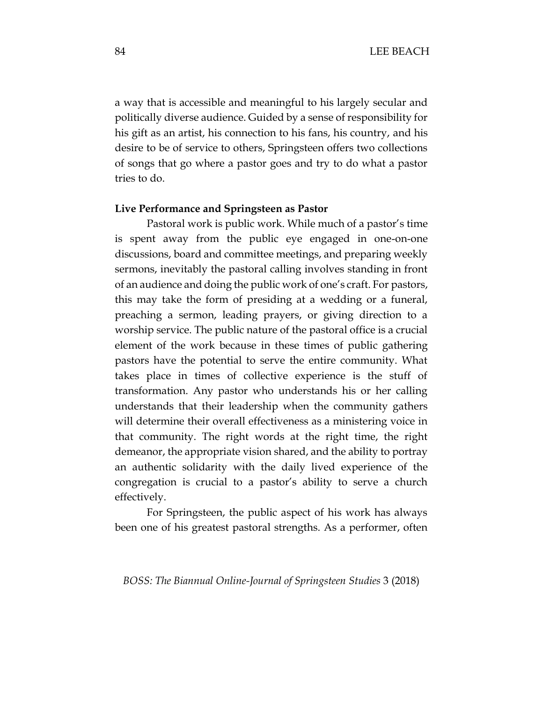a way that is accessible and meaningful to his largely secular and politically diverse audience. Guided by a sense of responsibility for his gift as an artist, his connection to his fans, his country, and his desire to be of service to others, Springsteen offers two collections of songs that go where a pastor goes and try to do what a pastor tries to do.

#### **Live Performance and Springsteen as Pastor**

Pastoral work is public work. While much of a pastor's time is spent away from the public eye engaged in one-on-one discussions, board and committee meetings, and preparing weekly sermons, inevitably the pastoral calling involves standing in front of an audience and doing the public work of one's craft. For pastors, this may take the form of presiding at a wedding or a funeral, preaching a sermon, leading prayers, or giving direction to a worship service. The public nature of the pastoral office is a crucial element of the work because in these times of public gathering pastors have the potential to serve the entire community. What takes place in times of collective experience is the stuff of transformation. Any pastor who understands his or her calling understands that their leadership when the community gathers will determine their overall effectiveness as a ministering voice in that community. The right words at the right time, the right demeanor, the appropriate vision shared, and the ability to portray an authentic solidarity with the daily lived experience of the congregation is crucial to a pastor's ability to serve a church effectively.

For Springsteen, the public aspect of his work has always been one of his greatest pastoral strengths. As a performer, often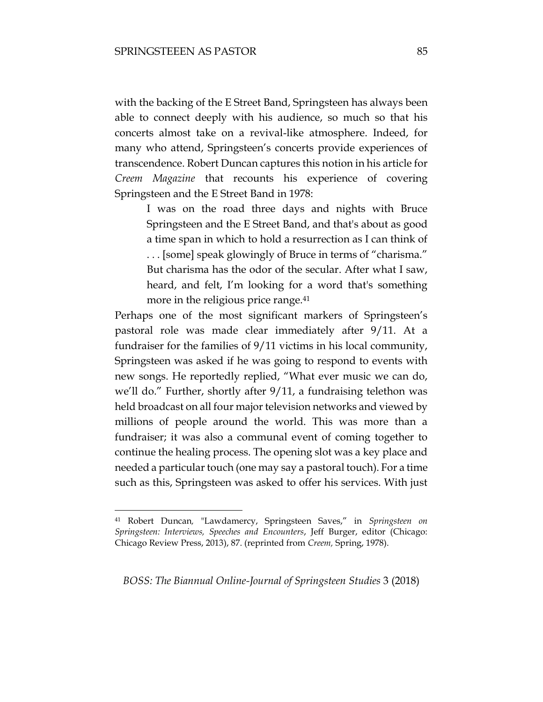with the backing of the E Street Band, Springsteen has always been able to connect deeply with his audience, so much so that his concerts almost take on a revival-like atmosphere. Indeed, for many who attend, Springsteen's concerts provide experiences of transcendence. Robert Duncan captures this notion in his article for *Creem Magazine* that recounts his experience of covering Springsteen and the E Street Band in 1978:

I was on the road three days and nights with Bruce Springsteen and the E Street Band, and that's about as good a time span in which to hold a resurrection as I can think of . . . [some] speak glowingly of Bruce in terms of "charisma." But charisma has the odor of the secular. After what I saw, heard, and felt, I'm looking for a word that's something more in the religious price range.<sup>41</sup>

Perhaps one of the most significant markers of Springsteen's pastoral role was made clear immediately after 9/11. At a fundraiser for the families of 9/11 victims in his local community, Springsteen was asked if he was going to respond to events with new songs. He reportedly replied, "What ever music we can do, we'll do." Further, shortly after 9/11, a fundraising telethon was held broadcast on all four major television networks and viewed by millions of people around the world. This was more than a fundraiser; it was also a communal event of coming together to continue the healing process. The opening slot was a key place and needed a particular touch (one may say a pastoral touch). For a time such as this, Springsteen was asked to offer his services. With just

 $\overline{a}$ 

<sup>41</sup> Robert Duncan*,* "Lawdamercy, Springsteen Saves," in *Springsteen on Springsteen: Interviews, Speeches and Encounters*, Jeff Burger, editor (Chicago: Chicago Review Press, 2013), 87. (reprinted from *Creem,* Spring, 1978).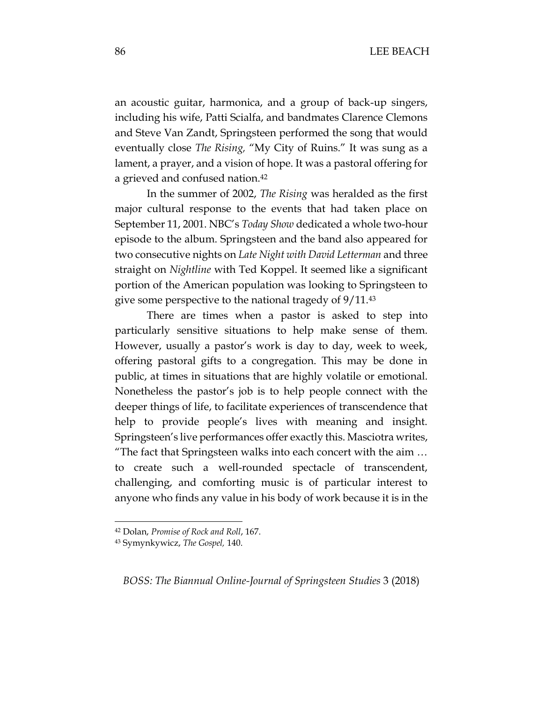an acoustic guitar, harmonica, and a group of back-up singers, including his wife, Patti Scialfa, and bandmates Clarence Clemons and Steve Van Zandt, Springsteen performed the song that would eventually close *The Rising,* "My City of Ruins." It was sung as a lament, a prayer, and a vision of hope. It was a pastoral offering for a grieved and confused nation.<sup>42</sup>

In the summer of 2002, *The Rising* was heralded as the first major cultural response to the events that had taken place on September 11, 2001. NBC's *Today Show* dedicated a whole two-hour episode to the album. Springsteen and the band also appeared for two consecutive nights on *Late Night with David Letterman* and three straight on *Nightline* with Ted Koppel. It seemed like a significant portion of the American population was looking to Springsteen to give some perspective to the national tragedy of 9/11.<sup>43</sup>

There are times when a pastor is asked to step into particularly sensitive situations to help make sense of them. However, usually a pastor's work is day to day, week to week, offering pastoral gifts to a congregation. This may be done in public, at times in situations that are highly volatile or emotional. Nonetheless the pastor's job is to help people connect with the deeper things of life, to facilitate experiences of transcendence that help to provide people's lives with meaning and insight. Springsteen's live performances offer exactly this. Masciotra writes, "The fact that Springsteen walks into each concert with the aim … to create such a well-rounded spectacle of transcendent, challenging, and comforting music is of particular interest to anyone who finds any value in his body of work because it is in the

 $\overline{a}$ 

<sup>42</sup> Dolan, *Promise of Rock and Roll*, 167.

<sup>43</sup> Symynkywicz, *The Gospel,* 140.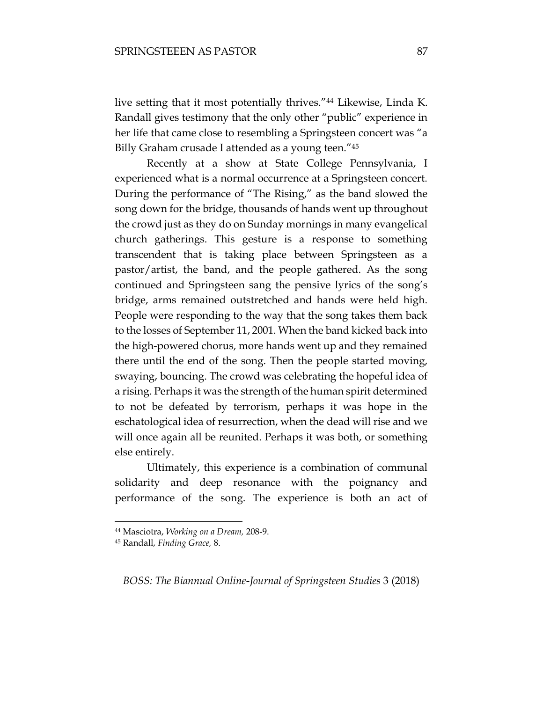live setting that it most potentially thrives."<sup>44</sup> Likewise, Linda K. Randall gives testimony that the only other "public" experience in her life that came close to resembling a Springsteen concert was "a Billy Graham crusade I attended as a young teen."<sup>45</sup>

Recently at a show at State College Pennsylvania, I experienced what is a normal occurrence at a Springsteen concert. During the performance of "The Rising," as the band slowed the song down for the bridge, thousands of hands went up throughout the crowd just as they do on Sunday mornings in many evangelical church gatherings. This gesture is a response to something transcendent that is taking place between Springsteen as a pastor/artist, the band, and the people gathered. As the song continued and Springsteen sang the pensive lyrics of the song's bridge, arms remained outstretched and hands were held high. People were responding to the way that the song takes them back to the losses of September 11, 2001. When the band kicked back into the high-powered chorus, more hands went up and they remained there until the end of the song. Then the people started moving, swaying, bouncing. The crowd was celebrating the hopeful idea of a rising. Perhaps it was the strength of the human spirit determined to not be defeated by terrorism, perhaps it was hope in the eschatological idea of resurrection, when the dead will rise and we will once again all be reunited. Perhaps it was both, or something else entirely.

Ultimately, this experience is a combination of communal solidarity and deep resonance with the poignancy and performance of the song. The experience is both an act of

 $\overline{a}$ 

<sup>44</sup> Masciotra, *Working on a Dream,* 208-9.

<sup>45</sup> Randall, *Finding Grace,* 8.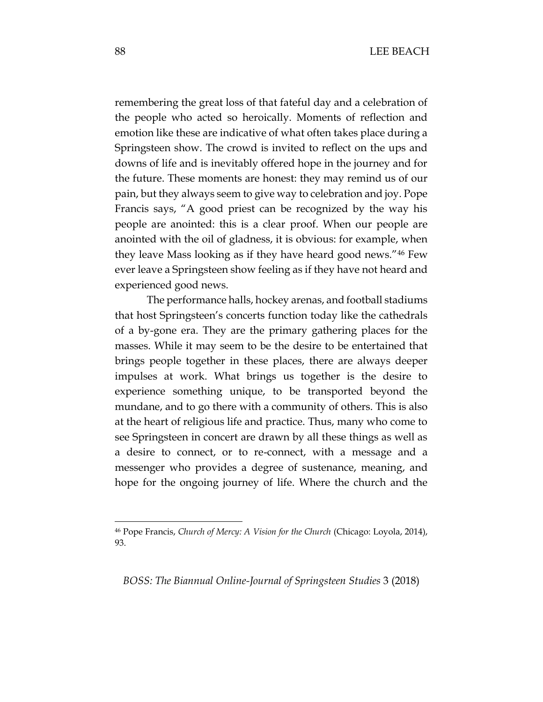remembering the great loss of that fateful day and a celebration of the people who acted so heroically. Moments of reflection and emotion like these are indicative of what often takes place during a Springsteen show. The crowd is invited to reflect on the ups and downs of life and is inevitably offered hope in the journey and for the future. These moments are honest: they may remind us of our pain, but they always seem to give way to celebration and joy. Pope Francis says, "A good priest can be recognized by the way his people are anointed: this is a clear proof. When our people are anointed with the oil of gladness, it is obvious: for example, when they leave Mass looking as if they have heard good news."<sup>46</sup> Few ever leave a Springsteen show feeling as if they have not heard and experienced good news.

The performance halls, hockey arenas, and football stadiums that host Springsteen's concerts function today like the cathedrals of a by-gone era. They are the primary gathering places for the masses. While it may seem to be the desire to be entertained that brings people together in these places, there are always deeper impulses at work. What brings us together is the desire to experience something unique, to be transported beyond the mundane, and to go there with a community of others. This is also at the heart of religious life and practice. Thus, many who come to see Springsteen in concert are drawn by all these things as well as a desire to connect, or to re-connect, with a message and a messenger who provides a degree of sustenance, meaning, and hope for the ongoing journey of life. Where the church and the

*BOSS: The Biannual Online-Journal of Springsteen Studies* 3 (2018)

<sup>46</sup> Pope Francis, *Church of Mercy: A Vision for the Church* (Chicago: Loyola, 2014), 93.